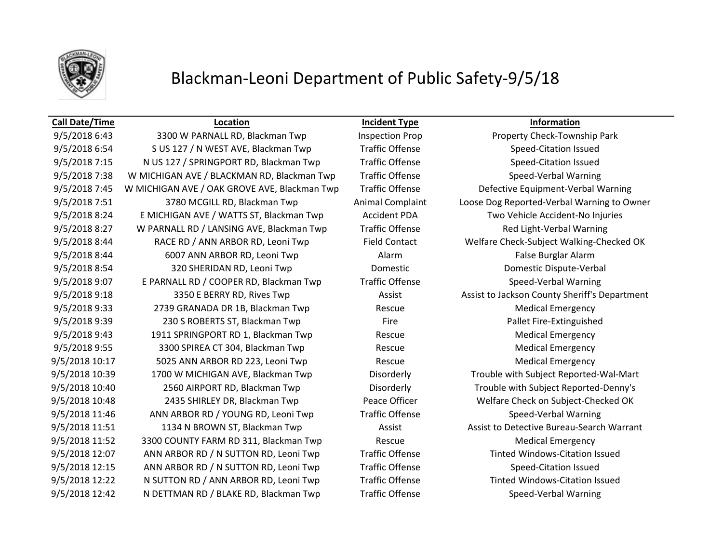

## **Call Date/Time Location Incident Type Information**

9/5/2018 6:54 S US 127 / N WEST AVE, Blackman Twp Traffic Offense Speed-Citation Issued 9/5/2018 7:15 N US 127 / SPRINGPORT RD, Blackman Twp Traffic Offense Speed-Citation Issued 9/5/2018 7:38 W MICHIGAN AVE / BLACKMAN RD, Blackman Twp Traffic Offense Speed-Verbal Warning 9/5/2018 7:45 W MICHIGAN AVE / OAK GROVE AVE, Blackman Twp Traffic Offense Defective Equipment-Verbal Warning 9/5/2018 7:51 3780 MCGILL RD, Blackman Twp Animal Complaint Loose Dog Reported-Verbal Warning to Owner 9/5/2018 8:24 E MICHIGAN AVE / WATTS ST, Blackman Twp Accident PDA Two Vehicle Accident-No Injuries 9/5/2018 8:27 W PARNALL RD / LANSING AVE, Blackman Twp Traffic Offense Red Light-Verbal Warning 9/5/2018 8:44 RACE RD / ANN ARBOR RD, Leoni Twp Field Contact Welfare Check-Subject Walking-Checked OK 9/5/2018 8:44 6007 ANN ARBOR RD, Leoni Twp Alarm Alarm False Burglar Alarm 9/5/2018 8:54 320 SHERIDAN RD, Leoni Twp Domestic Domestic Dispute-Verbal 9/5/2018 9:07 E PARNALL RD / COOPER RD, Blackman Twp Traffic Offense Speed-Verbal Warning 9/5/2018 9:18 3350 E BERRY RD, Rives Twp Assist Assist Assist to Jackson County Sheriff's Department 9/5/2018 9:33 2739 GRANADA DR 1B, Blackman Twp Rescue Rescue Medical Emergency 9/5/2018 9:39 230 S ROBERTS ST, Blackman Twp Fire Fire Pallet Fire-Extinguished 9/5/2018 9:43 1911 SPRINGPORT RD 1, Blackman Twp Rescue Rescue Medical Emergency 9/5/2018 9:55 3300 SPIREA CT 304, Blackman Twp Rescue Rescue Medical Emergency 9/5/2018 10:17 5025 ANN ARBOR RD 223, Leoni Twp Rescue Medical Emergency 9/5/2018 10:39 1700 W MICHIGAN AVE, Blackman Twp Disorderly Trouble with Subject Reported-Wal-Mart 9/5/2018 10:40 2560 AIRPORT RD, Blackman Twp Disorderly Disorderly Trouble with Subject Reported-Denny's 9/5/2018 10:48 2435 SHIRLEY DR, Blackman Twp Peace Officer Welfare Check on Subject-Checked OK 9/5/2018 11:46 ANN ARBOR RD / YOUNG RD, Leoni Twp Traffic Offense Speed-Verbal Warning 9/5/2018 11:51 1134 N BROWN ST, Blackman Twp Assist Assist Assist to Detective Bureau-Search Warrant 9/5/2018 11:52 3300 COUNTY FARM RD 311, Blackman Twp Rescue Rescue Medical Emergency 9/5/2018 12:07 ANN ARBOR RD / N SUTTON RD, Leoni Twp Traffic Offense Tinted Windows-Citation Issued 9/5/2018 12:15 ANN ARBOR RD / N SUTTON RD, Leoni Twp Traffic Offense Speed-Citation Issued 9/5/2018 12:22 N SUTTON RD / ANN ARBOR RD, Leoni Twp Traffic Offense Tinted Windows-Citation Issued 9/5/2018 12:42 N DETTMAN RD / BLAKE RD, Blackman Twp Traffic Offense Speed-Verbal Warning

9/5/2018 6:43 3300 W PARNALL RD, Blackman Twp Inspection Prop Property Check-Township Park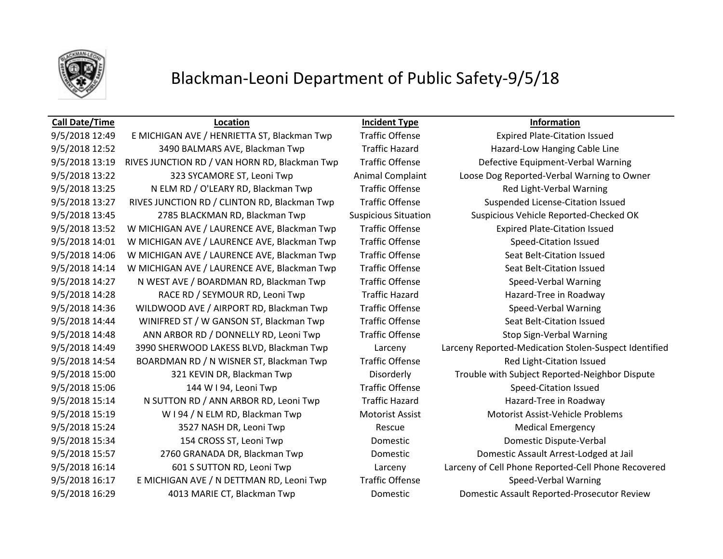

## **Call Date/Time Location Incident Type Information**

9/5/2018 12:49 E MICHIGAN AVE / HENRIETTA ST, Blackman Twp Traffic Offense Expired Plate-Citation Issued 9/5/2018 12:52 3490 BALMARS AVE, Blackman Twp Traffic Hazard Hazard-Low Hanging Cable Line 9/5/2018 13:19 RIVES JUNCTION RD / VAN HORN RD, Blackman Twp Traffic Offense Defective Equipment-Verbal Warning 9/5/2018 13:25 N ELM RD / O'LEARY RD, Blackman Twp Traffic Offense Red Light-Verbal Warning 9/5/2018 13:27 RIVES JUNCTION RD / CLINTON RD, Blackman Twp Traffic Offense Suspended License-Citation Issued 9/5/2018 13:45 2785 BLACKMAN RD, Blackman Twp Suspicious Situation Suspicious Vehicle Reported-Checked OK 9/5/2018 13:52 W MICHIGAN AVE / LAURENCE AVE, Blackman Twp Traffic Offense Expired Plate-Citation Issued 9/5/2018 14:01 W MICHIGAN AVE / LAURENCE AVE, Blackman Twp Traffic Offense Speed-Citation Issued 9/5/2018 14:06 W MICHIGAN AVE / LAURENCE AVE, Blackman Twp Traffic Offense Seat Belt-Citation Issued 9/5/2018 14:14 W MICHIGAN AVE / LAURENCE AVE, Blackman Twp Traffic Offense Seat Belt-Citation Issued 9/5/2018 14:27 N WEST AVE / BOARDMAN RD, Blackman Twp Traffic Offense Speed-Verbal Warning 9/5/2018 14:28 RACE RD / SEYMOUR RD, Leoni Twp Traffic Hazard Hazard Hazard-Tree in Roadway 9/5/2018 14:36 WILDWOOD AVE / AIRPORT RD, Blackman Twp Traffic Offense Speed-Verbal Warning 9/5/2018 14:44 WINIFRED ST / W GANSON ST, Blackman Twp Traffic Offense Seat Belt-Citation Issued 9/5/2018 14:48 ANN ARBOR RD / DONNELLY RD, Leoni Twp Traffic Offense Stop Sign-Verbal Warning 9/5/2018 14:54 BOARDMAN RD / N WISNER ST, Blackman Twp Traffic Offense Traffic Red Light-Citation Issued 9/5/2018 15:06 144 W I 94, Leoni Twp Traffic Offense Speed-Citation Issued 9/5/2018 15:14 N SUTTON RD / ANN ARBOR RD, Leoni Twp Traffic Hazard Hazard Hazard-Tree in Roadway 9/5/2018 15:19 W I 94 / N ELM RD, Blackman Twp Motorist Assist Motorist Assist-Vehicle Problems 9/5/2018 15:24 3527 NASH DR, Leoni Twp Rescue Rescue Medical Emergency 9/5/2018 15:34 154 CROSS ST, Leoni Twp Domestic Domestic Dispute-Verbal 9/5/2018 15:57 2760 GRANADA DR, Blackman Twp Domestic Domestic Assault Arrest-Lodged at Jail 9/5/2018 16:17 E MICHIGAN AVE / N DETTMAN RD, Leoni Twp Traffic Offense Speed-Verbal Warning 9/5/2018 16:29 4013 MARIE CT, Blackman Twp Domestic Domestic Assault Reported-Prosecutor Review

9/5/2018 13:22 323 SYCAMORE ST, Leoni Twp Animal Complaint Loose Dog Reported-Verbal Warning to Owner 9/5/2018 14:49 3990 SHERWOOD LAKESS BLVD, Blackman Twp Larceny Larceny Reported-Medication Stolen-Suspect Identified 9/5/2018 15:00 321 KEVIN DR, Blackman Twp Disorderly Trouble with Subject Reported-Neighbor Dispute 9/5/2018 16:14 601 S SUTTON RD, Leoni Twp Larceny Larceny of Cell Phone Reported-Cell Phone Recovered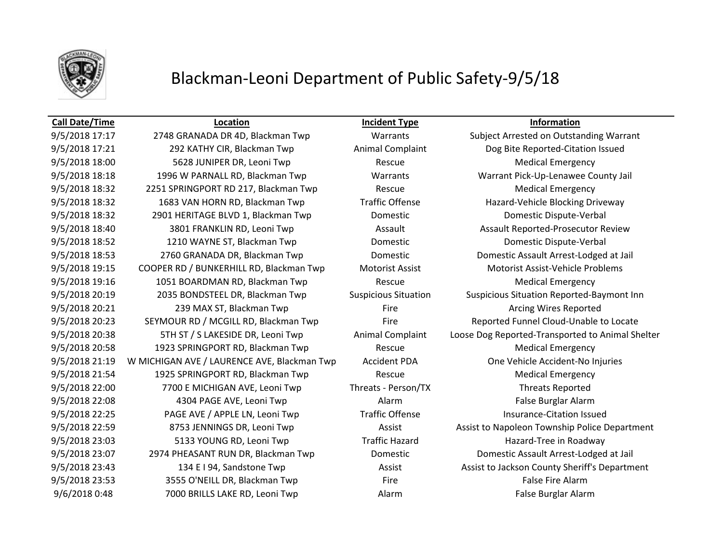

## **Call Date/Time Location Incident Type Information**

9/5/2018 17:21 292 KATHY CIR, Blackman Twp Animal Complaint Dog Bite Reported-Citation Issued 9/5/2018 18:00 **5628 JUNIPER DR, Leoni Twp** Rescue Rescue Medical Emergency 9/5/2018 18:18 1996 W PARNALL RD, Blackman Twp Warrants Warrant Pick-Up-Lenawee County Jail 9/5/2018 18:32 2251 SPRINGPORT RD 217, Blackman Twp Rescue Medical Emergency 9/5/2018 18:32 1683 VAN HORN RD, Blackman Twp Traffic Offense Hazard-Vehicle Blocking Driveway 9/5/2018 18:32 2901 HERITAGE BLVD 1, Blackman Twp Domestic Domestic Dispute-Verbal 9/5/2018 18:40 3801 FRANKLIN RD, Leoni Twp Assault Assault Assault Assault Reported-Prosecutor Review 9/5/2018 18:52 1210 WAYNE ST, Blackman Twp Domestic Domestic Dispute-Verbal 9/5/2018 18:53 2760 GRANADA DR, Blackman Twp Domestic Domestic Assault Arrest-Lodged at Jail 9/5/2018 19:15 COOPER RD / BUNKERHILL RD, Blackman Twp Motorist Assist Motorist Assist-Vehicle Problems 9/5/2018 19:16 1051 BOARDMAN RD, Blackman Twp Rescue Medical Emergency 9/5/2018 20:19 2035 BONDSTEEL DR, Blackman Twp Suspicious Situation Suspicious Situation Reported-Baymont Inn 9/5/2018 20:21 239 MAX ST, Blackman Twp Fire Fire Arcing Wires Reported 9/5/2018 20:23 SEYMOUR RD / MCGILL RD, Blackman Twp Fire Reported Funnel Cloud-Unable to Locate 9/5/2018 20:58 1923 SPRINGPORT RD, Blackman Twp Rescue Rescue Medical Emergency 9/5/2018 21:19 W MICHIGAN AVE / LAURENCE AVE, Blackman Twp Accident PDA One Vehicle Accident-No Injuries 9/5/2018 21:54 1925 SPRINGPORT RD, Blackman Twp Rescue Medical Emergency 9/5/2018 22:00 7700 E MICHIGAN AVE, Leoni Twp Threats - Person/TX Threats Reported 9/5/2018 22:08 4304 PAGE AVE, Leoni Twp Alarm False Burglar Alarm 9/5/2018 22:25 PAGE AVE / APPLE LN, Leoni Twp Traffic Offense Insurance-Citation Issued 9/5/2018 23:03 5133 YOUNG RD, Leoni Twp Traffic Hazard Hazard-Tree in Roadway 9/5/2018 23:07 2974 PHEASANT RUN DR, Blackman Twp Domestic Domestic Assault Arrest-Lodged at Jail 9/5/2018 23:53 3555 O'NEILL DR, Blackman Twp Fire Fire Fire False Fire Alarm 9/6/2018 0:48 7000 BRILLS LAKE RD, Leoni Twp Alarm Alarm False Burglar Alarm

9/5/2018 17:17 2748 GRANADA DR 4D, Blackman Twp Warrants Subject Arrested on Outstanding Warrant 9/5/2018 20:38 5TH ST / S LAKESIDE DR, Leoni Twp Animal Complaint Loose Dog Reported-Transported to Animal Shelter 9/5/2018 22:59 8753 JENNINGS DR, Leoni Twp Assist Assist Assist Assist to Napoleon Township Police Department 9/5/2018 23:43 134 E I 94, Sandstone Twp Assist Assist Assist to Jackson County Sheriff's Department